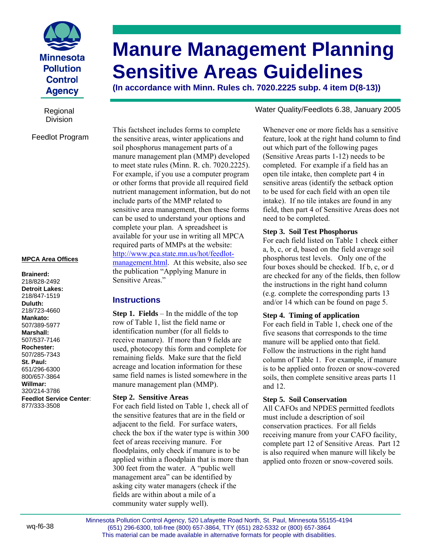

Division

# Feedlot Program

#### **MPCA Area Offices**

**Brainerd:**  218/828-2492 **Detroit Lakes:**  218/847-1519 **Duluth:**  218/723-4660 **Mankato:**  507/389-5977 **Marshall:**  507/537-7146 **Rochester:**  507/285-7343 **St. Paul:**  651/296-6300 800/657-3864 **Willmar:**  320/214-3786 **Feedlot Service Center**: 877/333-3508

# **Manure Management Planning Sensitive Areas Guidelines**

**(In accordance with Minn. Rules ch. 7020.2225 subp. 4 item D(8-13))** 

This factsheet includes forms to complete the sensitive areas, winter applications and soil phosphorus management parts of a manure management plan (MMP) developed to meet state rules (Minn. R. ch. 7020.2225). For example, if you use a computer program or other forms that provide all required field nutrient management information, but do not include parts of the MMP related to sensitive area management, then these forms can be used to understand your options and complete your plan. A spreadsheet is available for your use in writing all MPCA required parts of MMPs at the website: [http://www.pca.state.mn.us/hot/feedlot](http://www.pca.state.mn.us/hot/feedlot-management.html)management.html. At this website, also see the publication "Applying Manure in Sensitive Areas."

# **Instructions**

**Step 1. Fields** – In the middle of the top row of Table 1, list the field name or identification number (for all fields to receive manure). If more than 9 fields are used, photocopy this form and complete for remaining fields. Make sure that the field acreage and location information for these same field names is listed somewhere in the manure management plan (MMP).

## **Step 2. Sensitive Areas**

For each field listed on Table 1, check all of the sensitive features that are in the field or adjacent to the field. For surface waters, check the box if the water type is within 300 feet of areas receiving manure. For floodplains, only check if manure is to be applied within a floodplain that is more than 300 feet from the water. A "public well management area" can be identified by asking city water managers (check if the fields are within about a mile of a community water supply well).

# Regional Water Quality/Feedlots 6.38, January 2005

Whenever one or more fields has a sensitive feature, look at the right hand column to find out which part of the following pages (Sensitive Areas parts 1-12) needs to be completed. For example if a field has an open tile intake, then complete part 4 in sensitive areas (identify the setback option to be used for each field with an open tile intake). If no tile intakes are found in any field, then part 4 of Sensitive Areas does not need to be completed.

## **Step 3. Soil Test Phosphorus**

For each field listed on Table 1 check either a, b, c, or d, based on the field average soil phosphorus test levels. Only one of the four boxes should be checked. If b, c, or d are checked for any of the fields, then follow the instructions in the right hand column (e.g. complete the corresponding parts 13 and/or 14 which can be found on page 5.

## **Step 4. Timing of application**

For each field in Table 1, check one of the five seasons that corresponds to the time manure will be applied onto that field. Follow the instructions in the right hand column of Table 1. For example, if manure is to be applied onto frozen or snow-covered soils, then complete sensitive areas parts 11 and 12.

## **Step 5. Soil Conservation**

All CAFOs and NPDES permitted feedlots must include a description of soil conservation practices. For all fields receiving manure from your CAFO facility, complete part 12 of Sensitive Areas. Part 12 is also required when manure will likely be applied onto frozen or snow-covered soils.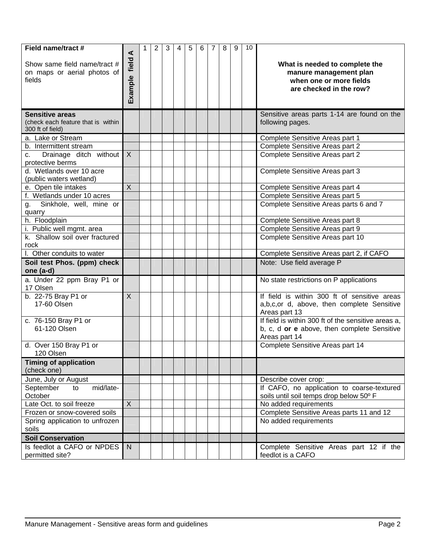| Field name/tract #                                           | ⋖              | 1 | $\overline{2}$ | 3 | $\overline{4}$ | 5 | 6 | $\overline{7}$ | 8 | 9 | 10 |                                                                                       |
|--------------------------------------------------------------|----------------|---|----------------|---|----------------|---|---|----------------|---|---|----|---------------------------------------------------------------------------------------|
| Show same field name/tract #                                 | field          |   |                |   |                |   |   |                |   |   |    | What is needed to complete the                                                        |
| on maps or aerial photos of                                  |                |   |                |   |                |   |   |                |   |   |    | manure management plan                                                                |
| fields                                                       |                |   |                |   |                |   |   |                |   |   |    | when one or more fields<br>are checked in the row?                                    |
|                                                              | Example        |   |                |   |                |   |   |                |   |   |    |                                                                                       |
|                                                              |                |   |                |   |                |   |   |                |   |   |    |                                                                                       |
| <b>Sensitive areas</b><br>(check each feature that is within |                |   |                |   |                |   |   |                |   |   |    | Sensitive areas parts 1-14 are found on the                                           |
| 300 ft of field)                                             |                |   |                |   |                |   |   |                |   |   |    | following pages.                                                                      |
| a. Lake or Stream                                            |                |   |                |   |                |   |   |                |   |   |    | Complete Sensitive Areas part 1                                                       |
| b. Intermittent stream                                       |                |   |                |   |                |   |   |                |   |   |    | Complete Sensitive Areas part 2                                                       |
| Drainage ditch without<br>C <sub>1</sub><br>protective berms | $\sf X$        |   |                |   |                |   |   |                |   |   |    | Complete Sensitive Areas part 2                                                       |
| d. Wetlands over 10 acre                                     |                |   |                |   |                |   |   |                |   |   |    | Complete Sensitive Areas part 3                                                       |
| (public waters wetland)                                      |                |   |                |   |                |   |   |                |   |   |    |                                                                                       |
| e. Open tile intakes                                         | $\mathsf{X}$   |   |                |   |                |   |   |                |   |   |    | Complete Sensitive Areas part 4                                                       |
| f. Wetlands under 10 acres                                   |                |   |                |   |                |   |   |                |   |   |    | Complete Sensitive Areas part 5                                                       |
| Sinkhole, well, mine or<br>g.<br>quarry                      |                |   |                |   |                |   |   |                |   |   |    | Complete Sensitive Areas parts 6 and 7                                                |
| h. Floodplain                                                |                |   |                |   |                |   |   |                |   |   |    | Complete Sensitive Areas part 8                                                       |
| i. Public well mgmt. area                                    |                |   |                |   |                |   |   |                |   |   |    | Complete Sensitive Areas part 9                                                       |
| k. Shallow soil over fractured                               |                |   |                |   |                |   |   |                |   |   |    | Complete Sensitive Areas part 10                                                      |
| rock                                                         |                |   |                |   |                |   |   |                |   |   |    |                                                                                       |
| I. Other conduits to water                                   |                |   |                |   |                |   |   |                |   |   |    | Complete Sensitive Areas part 2, if CAFO                                              |
| Soil test Phos. (ppm) check<br>one (a-d)                     |                |   |                |   |                |   |   |                |   |   |    | Note: Use field average P                                                             |
| a. Under 22 ppm Bray P1 or                                   |                |   |                |   |                |   |   |                |   |   |    | No state restrictions on P applications                                               |
| 17 Olsen                                                     |                |   |                |   |                |   |   |                |   |   |    |                                                                                       |
| b. 22-75 Bray P1 or                                          | $\overline{X}$ |   |                |   |                |   |   |                |   |   |    | If field is within 300 ft of sensitive areas                                          |
| 17-60 Olsen                                                  |                |   |                |   |                |   |   |                |   |   |    | a,b,c,or d, above, then complete Sensitive                                            |
|                                                              |                |   |                |   |                |   |   |                |   |   |    | Areas part 13                                                                         |
| c. 76-150 Bray P1 or                                         |                |   |                |   |                |   |   |                |   |   |    | If field is within 300 ft of the sensitive areas a,                                   |
| 61-120 Olsen                                                 |                |   |                |   |                |   |   |                |   |   |    | b, c, d or e above, then complete Sensitive<br>Areas part 14                          |
| d. Over 150 Bray P1 or<br>120 Olsen                          |                |   |                |   |                |   |   |                |   |   |    | Complete Sensitive Areas part 14                                                      |
| <b>Timing of application</b>                                 |                |   |                |   |                |   |   |                |   |   |    |                                                                                       |
| (check one)                                                  |                |   |                |   |                |   |   |                |   |   |    |                                                                                       |
| June, July or August                                         |                |   |                |   |                |   |   |                |   |   |    | Describe cover crop:                                                                  |
| September<br>mid/late-<br>to<br>October                      |                |   |                |   |                |   |   |                |   |   |    | If CAFO, no application to coarse-textured<br>soils until soil temps drop below 50° F |
| Late Oct. to soil freeze                                     | $\overline{X}$ |   |                |   |                |   |   |                |   |   |    | No added requirements                                                                 |
| Frozen or snow-covered soils                                 |                |   |                |   |                |   |   |                |   |   |    | Complete Sensitive Areas parts 11 and 12                                              |
| Spring application to unfrozen                               |                |   |                |   |                |   |   |                |   |   |    | No added requirements                                                                 |
| soils                                                        |                |   |                |   |                |   |   |                |   |   |    |                                                                                       |
| <b>Soil Conservation</b>                                     |                |   |                |   |                |   |   |                |   |   |    |                                                                                       |
| Is feedlot a CAFO or NPDES                                   | N <sub>1</sub> |   |                |   |                |   |   |                |   |   |    | Complete Sensitive Areas part 12 if the                                               |
| permitted site?                                              |                |   |                |   |                |   |   |                |   |   |    | feedlot is a CAFO                                                                     |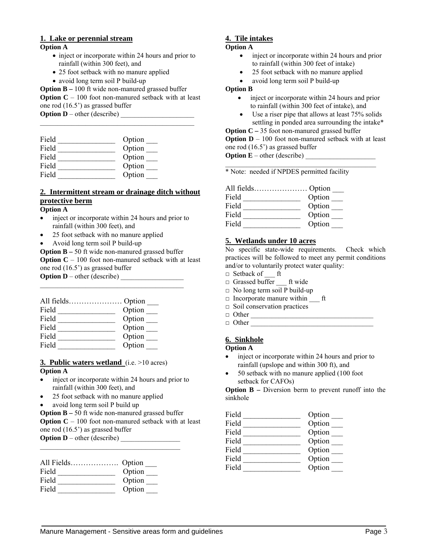# **1. Lake or perennial stream**

## **Option A**

- inject or incorporate within 24 hours and prior to rainfall (within 300 feet), and
- 25 foot setback with no manure applied
- avoid long term soil P build-up

**Option B** – 100 ft wide non-manured grassed buffer

**Option C** – 100 foot non-manured setback with at least one rod (16.5') as grassed buffer

**Option**  $D$  – other (describe)  $\mathcal{L}_\text{max}$  and  $\mathcal{L}_\text{max}$  and  $\mathcal{L}_\text{max}$  and  $\mathcal{L}_\text{max}$ 

| Field | Option |
|-------|--------|
| Field | Option |
| Field | Option |
| Field | Option |
| Field | Option |

# **2. Intermittent stream or drainage ditch without protective berm**

## **Option A**

- inject or incorporate within 24 hours and prior to rainfall (within 300 feet), and
- 25 foot setback with no manure applied
- Avoid long term soil P build-up

**Option B** – 50 ft wide non-manured grassed buffer

**Option C** – 100 foot non-manured setback with at least one rod (16.5') as grassed buffer

**Option D** – other (describe)  $\mathcal{L}_\text{max}$ 

| Field | Option |
|-------|--------|
| Field | Option |
| Field | Option |
| Field | Option |
| Field | Option |

## **3. Public waters wetland** (i.e. >10 acres) **Option A**

- inject or incorporate within 24 hours and prior to rainfall (within 300 feet), and
- 25 foot setback with no manure applied
- avoid long term soil P build up

**Option B –** 50 ft wide non-manured grassed buffer **Option C** – 100 foot non-manured setback with at least one rod (16.5') as grassed buffer **Option D** – other (describe)

\_\_\_\_\_\_\_\_\_\_\_\_\_\_\_\_\_\_\_\_\_\_\_\_\_\_\_\_\_\_\_\_\_\_\_\_\_\_\_\_

| Field | Option |
|-------|--------|
| Field | Option |
| Field | Option |

# **4. Tile intakes**

#### **Option A**

- inject or incorporate within 24 hours and prior to rainfall (within 300 feet of intake)
- 25 foot setback with no manure applied
- avoid long term soil P build-up

## **Option B**

- inject or incorporate within 24 hours and prior to rainfall (within 300 feet of intake), and
- Use a riser pipe that allows at least 75% solids settling in ponded area surrounding the intake\*

**Option C –** 35 foot non-manured grassed buffer **Option D** – 100 foot non-manured setback with at least one rod (16.5') as grassed buffer

\_\_\_\_\_\_\_\_\_\_\_\_\_\_\_\_\_\_\_\_\_\_\_\_\_\_\_\_\_\_\_\_\_\_\_\_\_\_\_\_\_\_\_

**Option**  $E$  – other (describe)

\* Note: needed if NPDES permitted facility

| Option |
|--------|
| Option |
| Option |
| Option |
|        |

# **5. Wetlands under 10 acres**

No specific state-wide requirements. Check which practices will be followed to meet any permit conditions and/or to voluntarily protect water quality:

- $\Box$  Setback of ft
- □ Grassed buffer \_\_\_ ft wide
- $\Box$  No long term soil P build-up
- □ Incorporate manure within \_\_\_ ft
- $\Box$  Soil conservation practices
- □ Other \_\_\_\_\_\_\_\_\_\_\_\_\_\_\_\_\_\_\_\_\_\_\_\_\_\_\_\_\_\_\_\_\_\_\_
- $\Box$  Other

# **6. Sinkhole**

## **Option A**

- inject or incorporate within 24 hours and prior to rainfall (upslope and within 300 ft), and
- 50 setback with no manure applied (100 foot setback for CAFOs)

**Option B** – Diversion berm to prevent runoff into the sinkhole

- 
- Field \_\_\_\_\_\_\_\_\_\_\_\_\_\_\_ Option \_\_\_ Field Dption Dption Dption Dption Dption Dption Dption Dption Dption Dption Dption Dption Dption Dption Dption Dption Dption Dption Dption Dption Dption Dption Dption Dption Dption Dption Dption Dption Dption Dption Dption
- Field \_\_\_\_\_\_\_\_\_\_\_\_\_\_\_ Option \_\_\_
- Field \_\_\_\_\_\_\_\_\_\_\_\_\_\_\_ Option \_\_\_
- $Field \qquad \qquad \qquad \qquad$
- Field  $\qquad \qquad \qquad$  Option  $\qquad \qquad$
- Field Option D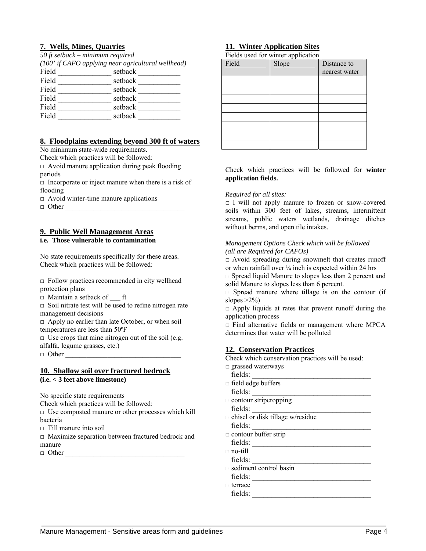# **7. Wells, Mines, Quarries**

*50 ft setback – minimum required* 

|       | (100' if CAFO applying near agricultural wellhead) |  |
|-------|----------------------------------------------------|--|
| Field | setback                                            |  |
| Field | setback                                            |  |
| Field | setback                                            |  |
| Field | setback                                            |  |
| Field | setback                                            |  |
| Field | setback                                            |  |
|       |                                                    |  |

# **8. Floodplains extending beyond 300 ft of waters**

No minimum state-wide requirements.

Check which practices will be followed:

 $\Box$  Avoid manure application during peak flooding periods

 $\Box$  Incorporate or inject manure when there is a risk of flooding

- $\Box$  Avoid winter-time manure applications
- $\Box$  Other

# **9. Public Well Management Areas**

#### **i.e. Those vulnerable to contamination**

No state requirements specifically for these areas. Check which practices will be followed:

 $\Box$  Follow practices recommended in city wellhead protection plans

□ Maintain a setback of \_\_\_ ft

 $\Box$  Soil nitrate test will be used to refine nitrogen rate management decisions

□ Apply no earlier than late October, or when soil temperatures are less than 50ºF

 $\Box$  Use crops that mine nitrogen out of the soil (e.g. alfalfa, legume grasses, etc.)

 $\Box$  Other

## **10. Shallow soil over fractured bedrock (i.e. < 3 feet above limestone)**

No specific state requirements

Check which practices will be followed:

□ Use composted manure or other processes which kill bacteria

□ Till manure into soil

□ Maximize separation between fractured bedrock and manure

 $\Box$  Other

# **11. Winter Application Sites**

Fields used for winter application

| Field | Slope | Distance to   |
|-------|-------|---------------|
|       |       | nearest water |
|       |       |               |
|       |       |               |
|       |       |               |
|       |       |               |
|       |       |               |
|       |       |               |
|       |       |               |
|       |       |               |

Check which practices will be followed for **winter application fields.** 

#### *Required for all sites:*

□ I will not apply manure to frozen or snow-covered soils within 300 feet of lakes, streams, intermittent streams, public waters wetlands, drainage ditches without berms, and open tile intakes.

#### *Management Options Check which will be followed (all are Required for CAFOs)*

□ Avoid spreading during snowmelt that creates runoff or when rainfall over  $\frac{1}{4}$  inch is expected within 24 hrs □ Spread liquid Manure to slopes less than 2 percent and solid Manure to slopes less than 6 percent.

 $\Box$  Spread manure where tillage is on the contour (if slopes  $>2\%$ )

 $\Box$  Apply liquids at rates that prevent runoff during the application process

 $\Box$  Find alternative fields or management where MPCA determines that water will be polluted

# **12. Conservation Practices**

Check which conservation practices will be used:

- □ grassed waterways fields: □ field edge buffers fields:
- $\Box$  contour stripcropping
- fields:
- □ chisel or disk tillage w/residue

fields:  $\Box$  contour buffer strip

fields:

 $\Box$  no-till

- fields:
- □ sediment control basin

fields:  $\qquad \qquad \qquad$ 

□ terrace

fields: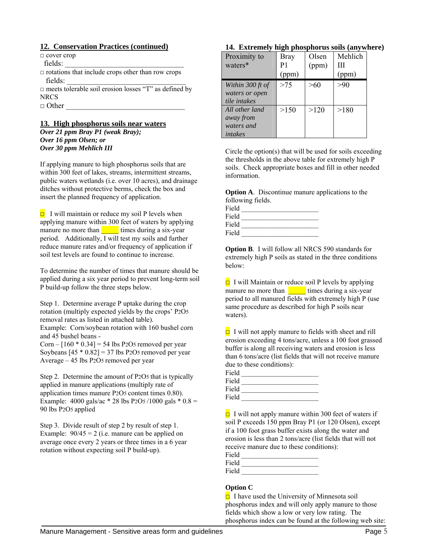## **12. Conservation Practices (continued)**

| $\Box$ cover crop |  |
|-------------------|--|
|-------------------|--|

fields:

 $\Box$  rotations that include crops other than row crops fields:

□ meets tolerable soil erosion losses "T" as defined by **NRCS** 

 $\Box$  Other

#### **13. High phosphorus soils near waters**

*Over 21 ppm Bray P1 (weak Bray); Over 16 ppm Olsen; or Over 30 ppm Mehlich III* 

If applying manure to high phosphorus soils that are within 300 feet of lakes, streams, intermittent streams, public waters wetlands (i.e. over 10 acres), and drainage ditches without protective berms, check the box and insert the planned frequency of application.

 $\Box$  I will maintain or reduce my soil P levels when applying manure within 300 feet of waters by applying manure no more than  $\Box$  times during a six-year period. Additionally, I will test my soils and further reduce manure rates and/or frequency of application if soil test levels are found to continue to increase.

To determine the number of times that manure should be applied during a six year period to prevent long-term soil P build-up follow the three steps below.

Step 1. Determine average P uptake during the crop rotation (multiply expected yields by the crops' P2O5 removal rates as listed in attached table). Example: Corn/soybean rotation with 160 bushel corn

and 45 bushel beans - Corn –  $[160 * 0.34] = 54$  lbs P2O5 removed per year

Soybeans  $[45 * 0.82] = 37$  lbs P2O5 removed per year Average – 45 lbs P2O5 removed per year

Step 2. Determine the amount of P<sub>2</sub>O<sub>5</sub> that is typically applied in manure applications (multiply rate of application times manure P2O5 content times 0.80). Example:  $4000$  gals/ac  $*$  28 lbs P2O5/1000 gals  $*$  0.8 = 90 lbs P2O5 applied

Step 3. Divide result of step 2 by result of step 1. Example:  $90/45 = 2$  (i.e. manure can be applied on average once every 2 years or three times in a 6 year rotation without expecting soil P build-up).

## **14. Extremely high phosphorus soils (anywhere)**

| Proximity to<br>waters*                   | <b>Bray</b><br>P1<br>(ppm) | Olsen<br>(ppm) | Mehlich<br>Ш<br>(ppm) |
|-------------------------------------------|----------------------------|----------------|-----------------------|
| Within 300 ft of<br>waters or open        | >75                        | >60            | >90                   |
| tile intakes<br>All other land            | >150                       | >120           | >180                  |
| <i>away from</i><br>waters and<br>intakes |                            |                |                       |

Circle the option(s) that will be used for soils exceeding the thresholds in the above table for extremely high P soils. Check appropriate boxes and fill in other needed information.

**Option A**. Discontinue manure applications to the following fields.

| Field |  |
|-------|--|
| Field |  |
| Field |  |
| Field |  |

**Option B**. I will follow all NRCS 590 standards for extremely high P soils as stated in the three conditions below:

 $\Box$  I will Maintain or reduce soil P levels by applying manure no more than  $\frac{1}{\sqrt{1-\frac{1}{\pi}}}$  times during a six-year period to all manured fields with extremely high P (use same procedure as described for high P soils near waters).

 $\Box$  I will not apply manure to fields with sheet and rill erosion exceeding 4 tons/acre, unless a 100 foot grassed buffer is along all receiving waters and erosion is less than 6 tons/acre (list fields that will not receive manure due to these conditions):

| Field |  |
|-------|--|
| Field |  |
| Field |  |
| Field |  |

 $\Box$  I will not apply manure within 300 feet of waters if soil P exceeds 150 ppm Bray P1 (or 120 Olsen), except if a 100 foot grass buffer exists along the water and erosion is less than 2 tons/acre (list fields that will not receive manure due to these conditions):



Field \_\_\_\_\_\_\_\_\_\_\_\_\_\_\_\_\_\_\_\_\_\_

## **Option C**

 $\Box$  I have used the University of Minnesota soil phosphorus index and will only apply manure to those fields which show a low or very low rating. The phosphorus index can be found at the following web site: